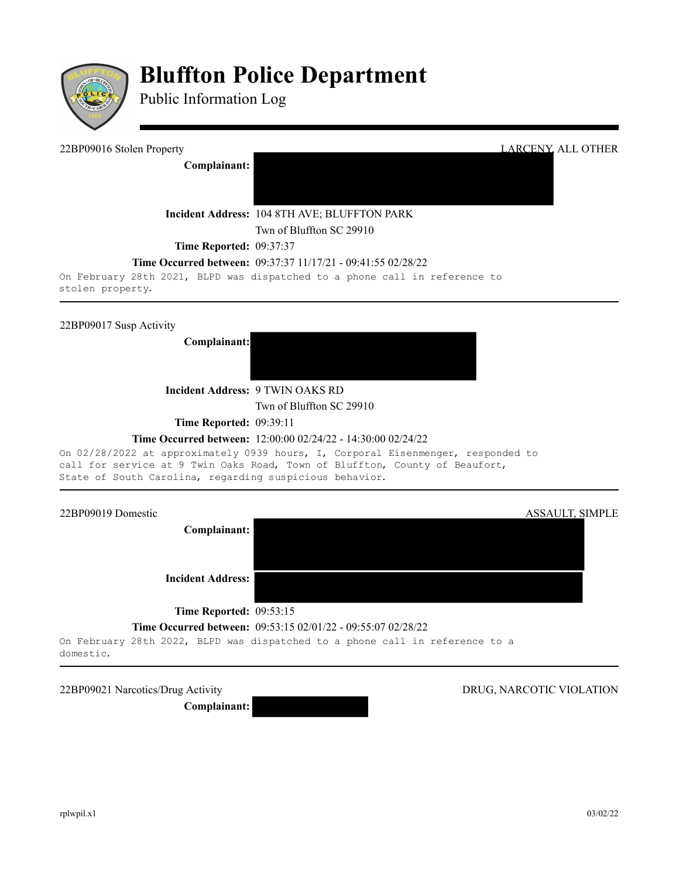

# **Bluffton Police Department**

Public Information Log

| 22BP09016 Stolen Property      | LARCENY, ALL OTHER                                                         |
|--------------------------------|----------------------------------------------------------------------------|
| Complainant:                   |                                                                            |
|                                |                                                                            |
|                                | Incident Address: 104 8TH AVE; BLUFFTON PARK                               |
|                                | Twn of Bluffton SC 29910                                                   |
| <b>Time Reported: 09:37:37</b> |                                                                            |
|                                | <b>Time Occurred between:</b> 09:37:37 11/17/21 - 09:41:55 02/28/22        |
|                                | On February 28th 2021, BLPD was dispatched to a phone call in reference to |

stolen property.

22BP09017 Susp Activity

**Complainant:**



**Incident Address:** 9 TWIN OAKS RD

Twn of Bluffton SC 29910

**Time Reported: 09:39:11** 

### **Time Occurred between:** 12:00:00 02/24/22 - 14:30:00 02/24/22

On 02/28/2022 at approximately 0939 hours, I, Corporal Eisenmenger, responded to call for service at 9 Twin Oaks Road, Town of Bluffton, County of Beaufort, State of South Carolina, regarding suspicious behavior.



#### **Time Occurred between:** 09:53:15 02/01/22 - 09:55:07 02/28/22

On February 28th 2022, BLPD was dispatched to a phone call in reference to a domestic.

22BP09021 Narcotics/Drug Activity DRUG, NARCOTIC VIOLATION

**Complainant:** 

rplwpil.x1 03/02/22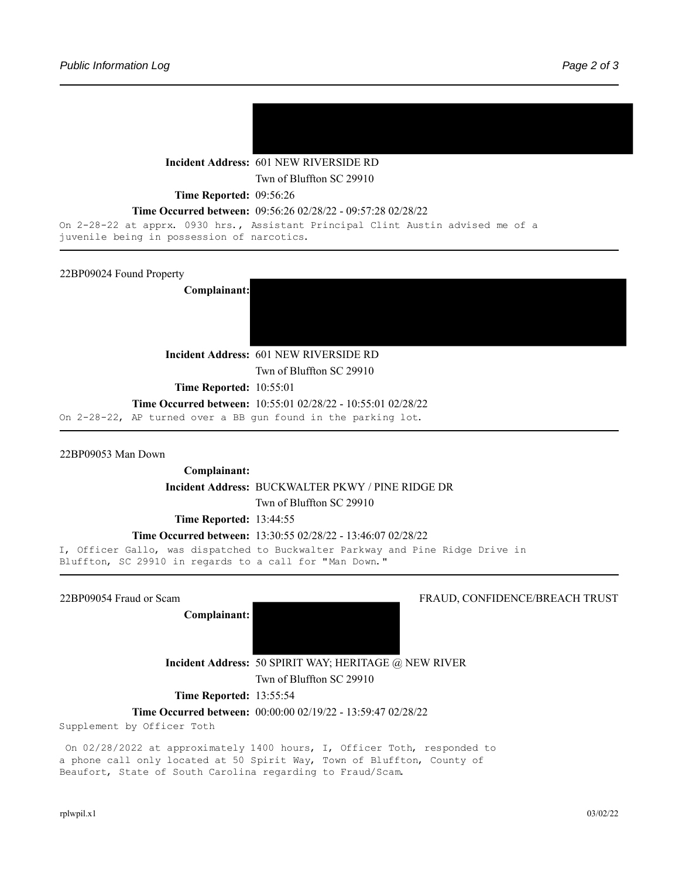

**Incident Address:** 601 NEW RIVERSIDE RD

Twn of Bluffton SC 29910

**Time Reported: 09:56:26** 

#### **Time Occurred between:** 09:56:26 02/28/22 - 09:57:28 02/28/22

```
On 2-28-22 at apprx. 0930 hrs., Assistant Principal Clint Austin advised me of a
juvenile being in possession of narcotics.
```
22BP09024 Found Property

**Complainant:**



**Incident Address:** 601 NEW RIVERSIDE RD

Twn of Bluffton SC 29910

**Time Reported:** 10:55:01

### **Time Occurred between:** 10:55:01 02/28/22 - 10:55:01 02/28/22

On 2-28-22, AP turned over a BB gun found in the parking lot.

22BP09053 Man Down

**Complainant: Incident Address:** BUCKWALTER PKWY / PINE RIDGE DR Twn of Bluffton SC 29910 **Time Reported:** 13:44:55

**Time Occurred between:** 13:30:55 02/28/22 - 13:46:07 02/28/22

I, Officer Gallo, was dispatched to Buckwalter Parkway and Pine Ridge Drive in Bluffton, SC 29910 in regards to a call for "Man Down."

**Complainant:** 

22BP09054 Fraud or Scam FRAUD, CONFIDENCE/BREACH TRUST

**Incident Address:** 50 SPIRIT WAY; HERITAGE @ NEW RIVER Twn of Bluffton SC 29910

**Time Reported:** 13:55:54

**Time Occurred between:** 00:00:00 02/19/22 - 13:59:47 02/28/22

Supplement by Officer Toth

On 02/28/2022 at approximately 1400 hours, I, Officer Toth, responded to a phone call only located at 50 Spirit Way, Town of Bluffton, County of Beaufort, State of South Carolina regarding to Fraud/Scam.